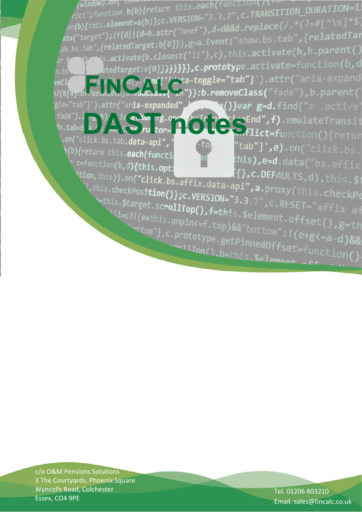(window).on(  $1041122$ <br> $\text{rict}$ ; function b(b){return this.each(function()\'\"<br>on(b){this.element=a(b)};c.VERSION="3.3.7",c.TRANSITION\_DURATION=1;<br>about the strill attr("href"),d=d&&d.replace(/.\*(?=#[^\s]\*\$; window).on( fold:"")<br>ict";function b(b){return this.each(function()iv<br>(i));c vERSTON="3.3.7",C.TRANS)  $\frac{1}{\rho_0(b)}$  (this.element=a(b)};c.VERSION= 3.3.7 ; c.v. .......<br>ata("target");if(d||(d=b.attr("href"),d=d&&d.replace(/.\*(?=#[^)<br>sta("target");if(d||(d=b.attr("href"),d=a Fyent("show.bs.tab",{relat  $\gamma$ ;if(d||(d=b.attr("hret"), d=uoxxu: episodix");<br>|relatedTarget:b[0]}),g=a.Event("show.bs.tab",{relatedTai elatedlarget:p[*o]});*g=a:c:c:...<br>.activate(b.closest("li"),c),this.activate(h,h.parent() de.bs.tab tedTarget:e[0]})**})}}},c.prototy**pe.activate=function(b,d n.bs -toggle="tab"]').attr("aria-expand reC] ):b.removeClass("fade"),b.parent( attr("aria-expanded"  $\mathbf{R}$  ()}var  $\mathbf{g}$ =d.find("> .active de"). I we have the cubbs rg.om ( b Tr m C icrEnd", f).emulateTransit<br>tab=b a) ( we hu tor= 10, flict=function(){returnal con("click.bs.tab.data-api", click.bs. h(b){return\_this.**each(funct**i  $\frac{1}{2}$  , e=d.data("bs.affix:  $c = function(b, d)$ {this.opt;  $\{\}$ , C.DEFAULTS, d), this. \$ ition, this)).on("click.bs.affix.data-api", a.proxy(this.checkPosition());c.VERSION="3 3 7"  $\mathcal{L}$ , this.checkPos**ition()};c.VERSION="3.3**.7", C.RESET="affix af  $v = this  

 $x + this$ . Starget.scrollTop(), f=this.$element.offset(), g=th<br>  $u = c$ ?!(e+this.unpin<=f.top)&&"bottom"...$ VI=c?I(e+this.unpin<=f.top)&&"bottom":1(e+g<=a-d)&&"<br>ttom"},c.prototype.getPinnedOffset(),g=th ttom"},c.prototype.getPinnedOffset=function()<br>xd=a-d)&&"bottom":!(e+g<=a-d)&&"binnedOffset=function() allTop().b=this.\$element

c/o O&M Pensions Solutions 3 The Courtyards, Phoenix Square Wyncolls Road, Colchester Essex, CO4 9PE

Tel. 01206 803210 Email. sales@fincalc.co.uk